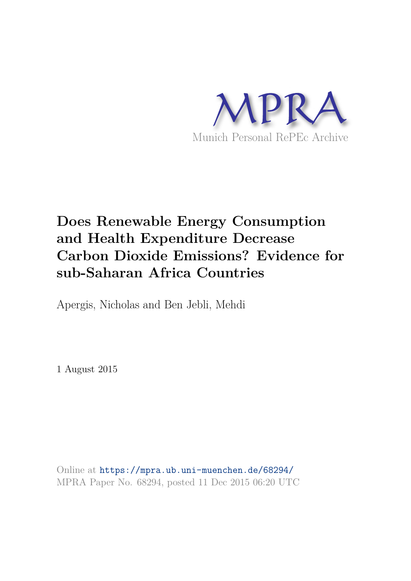

# **Does Renewable Energy Consumption and Health Expenditure Decrease Carbon Dioxide Emissions? Evidence for sub-Saharan Africa Countries**

Apergis, Nicholas and Ben Jebli, Mehdi

1 August 2015

Online at https://mpra.ub.uni-muenchen.de/68294/ MPRA Paper No. 68294, posted 11 Dec 2015 06:20 UTC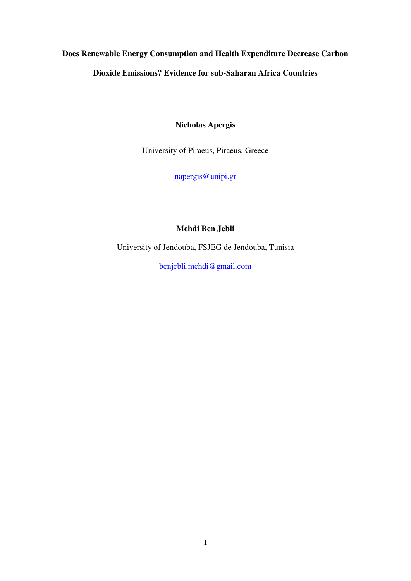# **Does Renewable Energy Consumption and Health Expenditure Decrease Carbon Dioxide Emissions? Evidence for sub-Saharan Africa Countries**

**Nicholas Apergis** 

University of Piraeus, Piraeus, Greece

[napergis@unipi.gr](mailto:napergis@unipi.gr) 

# **Mehdi Ben Jebli**

University of Jendouba, FSJEG de Jendouba, Tunisia

[benjebli.mehdi@gmail.com](mailto:benjebli.mehdi@gmail.com)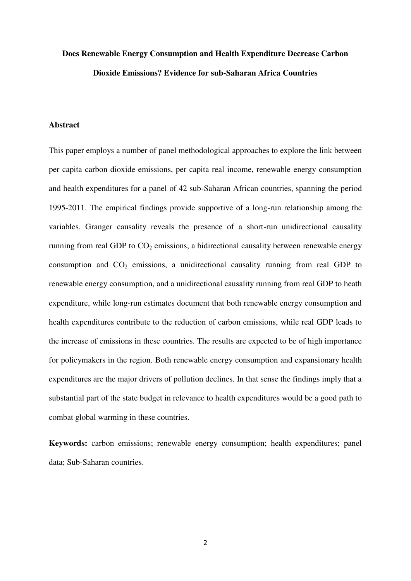# **Does Renewable Energy Consumption and Health Expenditure Decrease Carbon Dioxide Emissions? Evidence for sub-Saharan Africa Countries**

# **Abstract**

This paper employs a number of panel methodological approaches to explore the link between per capita carbon dioxide emissions, per capita real income, renewable energy consumption and health expenditures for a panel of 42 sub-Saharan African countries, spanning the period 1995-2011. The empirical findings provide supportive of a long-run relationship among the variables. Granger causality reveals the presence of a short-run unidirectional causality running from real GDP to  $CO<sub>2</sub>$  emissions, a bidirectional causality between renewable energy consumption and  $CO<sub>2</sub>$  emissions, a unidirectional causality running from real GDP to renewable energy consumption, and a unidirectional causality running from real GDP to heath expenditure, while long-run estimates document that both renewable energy consumption and health expenditures contribute to the reduction of carbon emissions, while real GDP leads to the increase of emissions in these countries. The results are expected to be of high importance for policymakers in the region. Both renewable energy consumption and expansionary health expenditures are the major drivers of pollution declines. In that sense the findings imply that a substantial part of the state budget in relevance to health expenditures would be a good path to combat global warming in these countries.

**Keywords:** carbon emissions; renewable energy consumption; health expenditures; panel data; Sub-Saharan countries.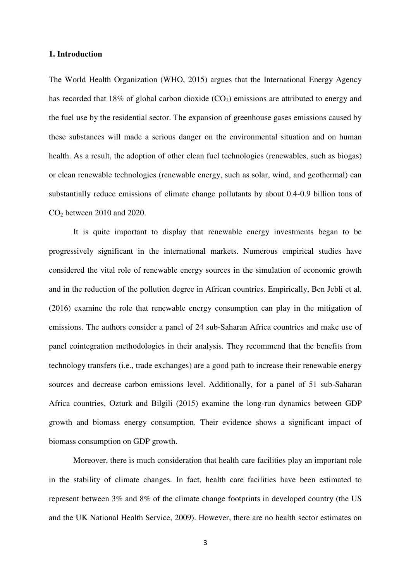### **1. Introduction**

The World Health Organization (WHO, 2015) argues that the International Energy Agency has recorded that 18% of global carbon dioxide  $(CO_2)$  emissions are attributed to energy and the fuel use by the residential sector. The expansion of greenhouse gases emissions caused by these substances will made a serious danger on the environmental situation and on human health. As a result, the adoption of other clean fuel technologies (renewables, such as biogas) or clean renewable technologies (renewable energy, such as solar, wind, and geothermal) can substantially reduce emissions of climate change pollutants by about 0.4-0.9 billion tons of CO2 between 2010 and 2020.

It is quite important to display that renewable energy investments began to be progressively significant in the international markets. Numerous empirical studies have considered the vital role of renewable energy sources in the simulation of economic growth and in the reduction of the pollution degree in African countries. Empirically, Ben Jebli et al. (2016) examine the role that renewable energy consumption can play in the mitigation of emissions. The authors consider a panel of 24 sub-Saharan Africa countries and make use of panel cointegration methodologies in their analysis. They recommend that the benefits from technology transfers (i.e., trade exchanges) are a good path to increase their renewable energy sources and decrease carbon emissions level. Additionally, for a panel of 51 sub-Saharan Africa countries, Ozturk and Bilgili (2015) examine the long-run dynamics between GDP growth and biomass energy consumption. Their evidence shows a significant impact of biomass consumption on GDP growth.

Moreover, there is much consideration that health care facilities play an important role in the stability of climate changes. In fact, health care facilities have been estimated to represent between 3% and 8% of the climate change footprints in developed country (the US and the UK National Health Service, 2009). However, there are no health sector estimates on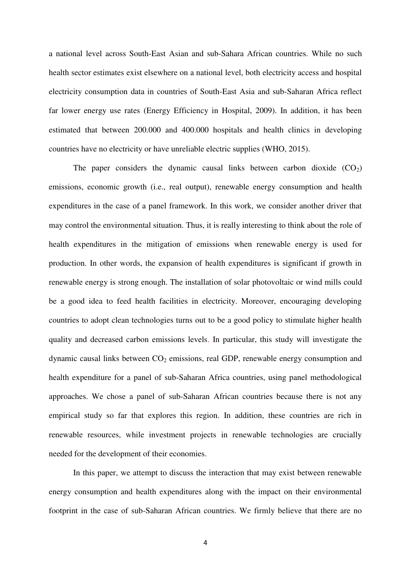a national level across South-East Asian and sub-Sahara African countries. While no such health sector estimates exist elsewhere on a national level, both electricity access and hospital electricity consumption data in countries of South-East Asia and sub-Saharan Africa reflect far lower energy use rates (Energy Efficiency in Hospital, 2009). In addition, it has been estimated that between 200.000 and 400.000 hospitals and health clinics in developing countries have no electricity or have unreliable electric supplies (WHO, 2015).

The paper considers the dynamic causal links between carbon dioxide  $(CO<sub>2</sub>)$ emissions, economic growth (i.e., real output), renewable energy consumption and health expenditures in the case of a panel framework. In this work, we consider another driver that may control the environmental situation. Thus, it is really interesting to think about the role of health expenditures in the mitigation of emissions when renewable energy is used for production. In other words, the expansion of health expenditures is significant if growth in renewable energy is strong enough. The installation of solar photovoltaic or wind mills could be a good idea to feed health facilities in electricity. Moreover, encouraging developing countries to adopt clean technologies turns out to be a good policy to stimulate higher health quality and decreased carbon emissions levels. In particular, this study will investigate the dynamic causal links between  $CO<sub>2</sub>$  emissions, real GDP, renewable energy consumption and health expenditure for a panel of sub-Saharan Africa countries, using panel methodological approaches. We chose a panel of sub-Saharan African countries because there is not any empirical study so far that explores this region. In addition, these countries are rich in renewable resources, while investment projects in renewable technologies are crucially needed for the development of their economies.

In this paper, we attempt to discuss the interaction that may exist between renewable energy consumption and health expenditures along with the impact on their environmental footprint in the case of sub-Saharan African countries. We firmly believe that there are no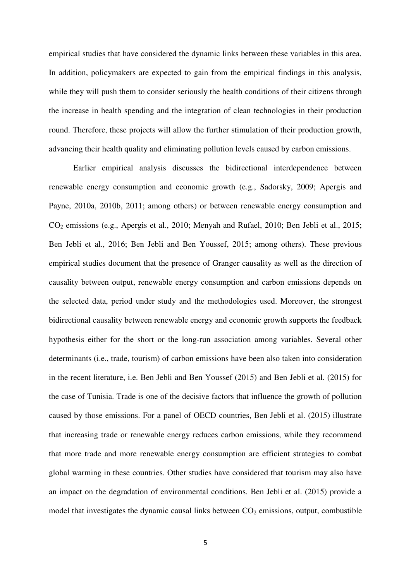empirical studies that have considered the dynamic links between these variables in this area. In addition, policymakers are expected to gain from the empirical findings in this analysis, while they will push them to consider seriously the health conditions of their citizens through the increase in health spending and the integration of clean technologies in their production round. Therefore, these projects will allow the further stimulation of their production growth, advancing their health quality and eliminating pollution levels caused by carbon emissions.

Earlier empirical analysis discusses the bidirectional interdependence between renewable energy consumption and economic growth (e.g., Sadorsky, 2009; Apergis and Payne, 2010a, 2010b, 2011; among others) or between renewable energy consumption and CO2 emissions (e.g., Apergis et al., 2010; Menyah and Rufael, 2010; Ben Jebli et al., 2015; Ben Jebli et al., 2016; Ben Jebli and Ben Youssef, 2015; among others). These previous empirical studies document that the presence of Granger causality as well as the direction of causality between output, renewable energy consumption and carbon emissions depends on the selected data, period under study and the methodologies used. Moreover, the strongest bidirectional causality between renewable energy and economic growth supports the feedback hypothesis either for the short or the long-run association among variables. Several other determinants (i.e., trade, tourism) of carbon emissions have been also taken into consideration in the recent literature, i.e. Ben Jebli and Ben Youssef (2015) and Ben Jebli et al. (2015) for the case of Tunisia. Trade is one of the decisive factors that influence the growth of pollution caused by those emissions. For a panel of OECD countries, Ben Jebli et al. (2015) illustrate that increasing trade or renewable energy reduces carbon emissions, while they recommend that more trade and more renewable energy consumption are efficient strategies to combat global warming in these countries. Other studies have considered that tourism may also have an impact on the degradation of environmental conditions. Ben Jebli et al. (2015) provide a model that investigates the dynamic causal links between  $CO<sub>2</sub>$  emissions, output, combustible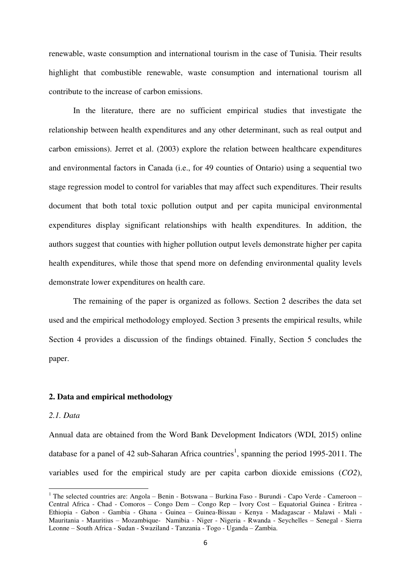renewable, waste consumption and international tourism in the case of Tunisia. Their results highlight that combustible renewable, waste consumption and international tourism all contribute to the increase of carbon emissions.

In the literature, there are no sufficient empirical studies that investigate the relationship between health expenditures and any other determinant, such as real output and carbon emissions). Jerret et al. (2003) explore the relation between healthcare expenditures and environmental factors in Canada (i.e., for 49 counties of Ontario) using a sequential two stage regression model to control for variables that may affect such expenditures. Their results document that both total toxic pollution output and per capita municipal environmental expenditures display significant relationships with health expenditures. In addition, the authors suggest that counties with higher pollution output levels demonstrate higher per capita health expenditures, while those that spend more on defending environmental quality levels demonstrate lower expenditures on health care.

The remaining of the paper is organized as follows. Section 2 describes the data set used and the empirical methodology employed. Section 3 presents the empirical results, while Section 4 provides a discussion of the findings obtained. Finally, Section 5 concludes the paper.

### **2. Data and empirical methodology**

#### *2.1. Data*

 $\overline{a}$ 

Annual data are obtained from the Word Bank Development Indicators (WDI, 2015) online database for a panel of 42 sub-Saharan Africa countries<sup>1</sup>, spanning the period 1995-2011. The variables used for the empirical study are per capita carbon dioxide emissions (*CO2*),

<sup>&</sup>lt;sup>1</sup> The selected countries are: Angola – Benin - Botswana – Burkina Faso - Burundi - Capo Verde - Cameroon – Central Africa - Chad - Comoros – Congo Dem – Congo Rep – Ivory Cost – Equatorial Guinea - Eritrea - Ethiopia - Gabon - Gambia - Ghana - Guinea – Guinea-Bissau - Kenya - Madagascar - Malawi - Mali - Mauritania - Mauritius – Mozambique- Namibia - Niger - Nigeria - Rwanda - Seychelles – Senegal - Sierra Leonne – South Africa - Sudan - Swaziland - Tanzania - Togo - Uganda – Zambia.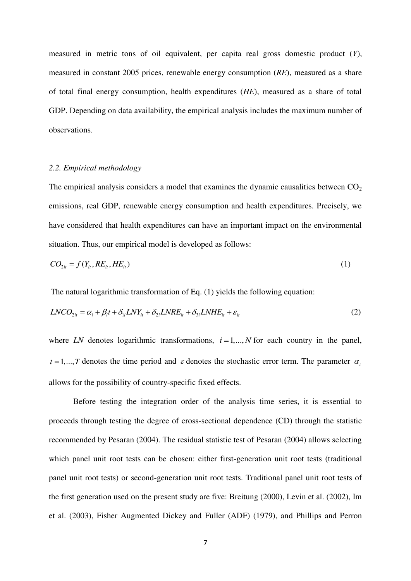measured in metric tons of oil equivalent, per capita real gross domestic product (*Y*), measured in constant 2005 prices, renewable energy consumption (*RE*), measured as a share of total final energy consumption, health expenditures (*HE*), measured as a share of total GDP. Depending on data availability, the empirical analysis includes the maximum number of observations.

#### *2.2. Empirical methodology*

The empirical analysis considers a model that examines the dynamic causalities between  $CO<sub>2</sub>$ emissions, real GDP, renewable energy consumption and health expenditures. Precisely, we have considered that health expenditures can have an important impact on the environmental situation. Thus, our empirical model is developed as follows:

$$
CO_{2it} = f(Y_{it}, RE_{it}, HE_{it})
$$
\n<sup>(1)</sup>

The natural logarithmic transformation of Eq. (1) yields the following equation:

$$
LNCO_{2it} = \alpha_i + \beta_i t + \delta_{1i} LNY_{it} + \delta_{2i} LNRE_{it} + \delta_{3i} LNHE_{it} + \varepsilon_{it}
$$
\n(2)

where *LN* denotes logarithmic transformations,  $i = 1,..., N$  for each country in the panel,  $t = 1, \ldots, T$  denotes the time period and  $\varepsilon$  denotes the stochastic error term. The parameter  $\alpha_i$ allows for the possibility of country-specific fixed effects.

Before testing the integration order of the analysis time series, it is essential to proceeds through testing the degree of cross-sectional dependence (CD) through the statistic recommended by Pesaran (2004). The residual statistic test of Pesaran (2004) allows selecting which panel unit root tests can be chosen: either first-generation unit root tests (traditional panel unit root tests) or second-generation unit root tests. Traditional panel unit root tests of the first generation used on the present study are five: Breitung (2000), Levin et al. (2002), Im et al. (2003), Fisher Augmented Dickey and Fuller (ADF) (1979), and Phillips and Perron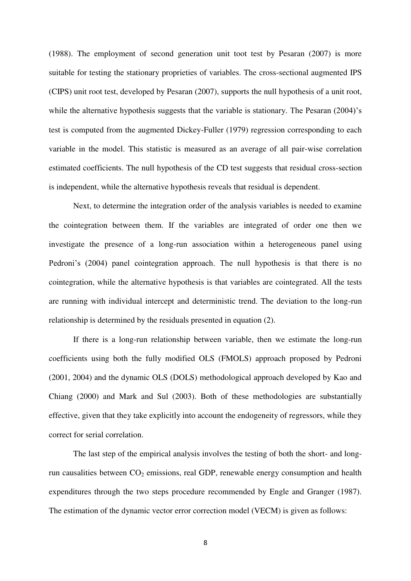(1988). The employment of second generation unit toot test by Pesaran (2007) is more suitable for testing the stationary proprieties of variables. The cross-sectional augmented IPS (CIPS) unit root test, developed by Pesaran (2007), supports the null hypothesis of a unit root, while the alternative hypothesis suggests that the variable is stationary. The Pesaran (2004)'s test is computed from the augmented Dickey-Fuller (1979) regression corresponding to each variable in the model. This statistic is measured as an average of all pair-wise correlation estimated coefficients. The null hypothesis of the CD test suggests that residual cross-section is independent, while the alternative hypothesis reveals that residual is dependent.

Next, to determine the integration order of the analysis variables is needed to examine the cointegration between them. If the variables are integrated of order one then we investigate the presence of a long-run association within a heterogeneous panel using Pedroni's (2004) panel cointegration approach. The null hypothesis is that there is no cointegration, while the alternative hypothesis is that variables are cointegrated. All the tests are running with individual intercept and deterministic trend. The deviation to the long-run relationship is determined by the residuals presented in equation (2).

If there is a long-run relationship between variable, then we estimate the long-run coefficients using both the fully modified OLS (FMOLS) approach proposed by Pedroni (2001, 2004) and the dynamic OLS (DOLS) methodological approach developed by Kao and Chiang (2000) and Mark and Sul (2003). Both of these methodologies are substantially effective, given that they take explicitly into account the endogeneity of regressors, while they correct for serial correlation.

The last step of the empirical analysis involves the testing of both the short- and longrun causalities between  $CO<sub>2</sub>$  emissions, real GDP, renewable energy consumption and health expenditures through the two steps procedure recommended by Engle and Granger (1987). The estimation of the dynamic vector error correction model (VECM) is given as follows: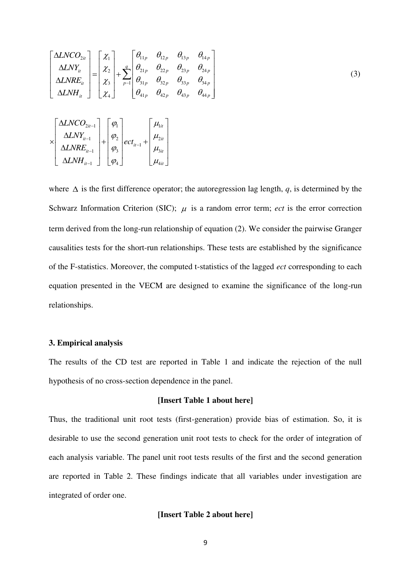$$
\begin{bmatrix}\n\Delta LNCO_{2it} \\
\Delta LNY_{it} \\
\Delta LNRE_{it} \\
\Delta LNH_{it}\n\end{bmatrix} =\n\begin{bmatrix}\n\chi_{1} \\
\chi_{2} \\
\chi_{3} \\
\chi_{4}\n\end{bmatrix} +\n\begin{bmatrix}\n\theta_{11p} & \theta_{12p} & \theta_{13p} & \theta_{14p} \\
\theta_{21p} & \theta_{22p} & \theta_{23p} & \theta_{24p} \\
\theta_{31p} & \theta_{32p} & \theta_{33p} & \theta_{34p} \\
\theta_{41p} & \theta_{42p} & \theta_{43p} & \theta_{44p}\n\end{bmatrix}
$$
\n(3)\n
$$
\times\n\begin{bmatrix}\n\Delta LNCO_{2it-1} \\
\Delta LNY_{it-1} \\
\Delta LNRE_{it-1} \\
\Delta LNRE_{it-1} \\
\Delta LNH_{it-1}\n\end{bmatrix} +\n\begin{bmatrix}\n\varphi_{1} \\
\varphi_{2} \\
\varphi_{3} \\
\varphi_{4}\n\end{bmatrix} ect_{it-1} +\n\begin{bmatrix}\n\mu_{1it} \\
\mu_{2it} \\
\mu_{3it} \\
\mu_{4it}\n\end{bmatrix}
$$

where  $\Delta$  is the first difference operator; the autoregression lag length, *q*, is determined by the Schwarz Information Criterion (SIC);  $\mu$  is a random error term; *ect* is the error correction term derived from the long-run relationship of equation (2). We consider the pairwise Granger causalities tests for the short-run relationships. These tests are established by the significance of the F-statistics. Moreover, the computed t-statistics of the lagged *ect* corresponding to each equation presented in the VECM are designed to examine the significance of the long-run relationships.

#### **3. Empirical analysis**

1 4 4

 $\begin{array}{ccc}LMH_{_{l{t-1}}}& & \left\lfloor\,\phi_{_{4}}\,\right\rfloor & & \left\lfloor\,\mu_{_{4{l}t}}\,\right\rfloor\end{array}$ 

The results of the CD test are reported in Table 1 and indicate the rejection of the null hypothesis of no cross-section dependence in the panel.

#### **[Insert Table 1 about here]**

Thus, the traditional unit root tests (first-generation) provide bias of estimation. So, it is desirable to use the second generation unit root tests to check for the order of integration of each analysis variable. The panel unit root tests results of the first and the second generation are reported in Table 2. These findings indicate that all variables under investigation are integrated of order one.

#### **[Insert Table 2 about here]**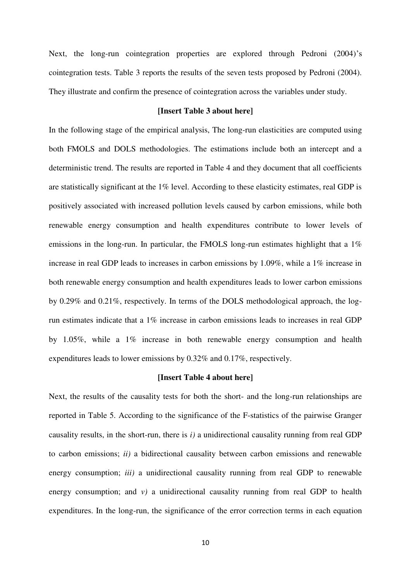Next, the long-run cointegration properties are explored through Pedroni (2004)'s cointegration tests. Table 3 reports the results of the seven tests proposed by Pedroni (2004). They illustrate and confirm the presence of cointegration across the variables under study.

# **[Insert Table 3 about here]**

In the following stage of the empirical analysis, The long-run elasticities are computed using both FMOLS and DOLS methodologies. The estimations include both an intercept and a deterministic trend. The results are reported in Table 4 and they document that all coefficients are statistically significant at the 1% level. According to these elasticity estimates, real GDP is positively associated with increased pollution levels caused by carbon emissions, while both renewable energy consumption and health expenditures contribute to lower levels of emissions in the long-run. In particular, the FMOLS long-run estimates highlight that a 1% increase in real GDP leads to increases in carbon emissions by 1.09%, while a 1% increase in both renewable energy consumption and health expenditures leads to lower carbon emissions by 0.29% and 0.21%, respectively. In terms of the DOLS methodological approach, the logrun estimates indicate that a 1% increase in carbon emissions leads to increases in real GDP by 1.05%, while a 1% increase in both renewable energy consumption and health expenditures leads to lower emissions by 0.32% and 0.17%, respectively.

#### **[Insert Table 4 about here]**

Next, the results of the causality tests for both the short- and the long-run relationships are reported in Table 5. According to the significance of the F-statistics of the pairwise Granger causality results, in the short-run, there is *i)* a unidirectional causality running from real GDP to carbon emissions; *ii)* a bidirectional causality between carbon emissions and renewable energy consumption; *iii*) a unidirectional causality running from real GDP to renewable energy consumption; and *v*) a unidirectional causality running from real GDP to health expenditures. In the long-run, the significance of the error correction terms in each equation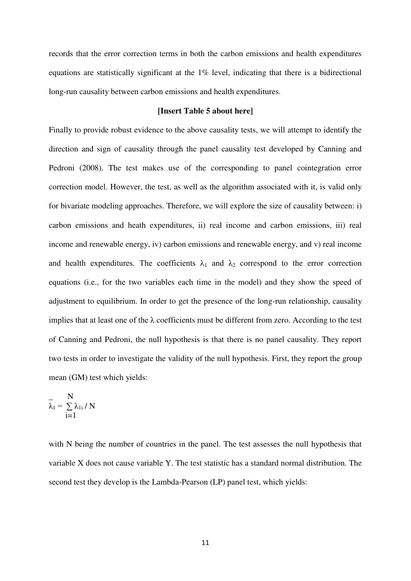records that the error correction terms in both the carbon emissions and health expenditures equations are statistically significant at the 1% level, indicating that there is a bidirectional long-run causality between carbon emissions and health expenditures.

#### **[Insert Table 5 about here]**

Finally to provide robust evidence to the above causality tests, we will attempt to identify the direction and sign of causality through the panel causality test developed by Canning and Pedroni (2008). The test makes use of the corresponding to panel cointegration error correction model. However, the test, as well as the algorithm associated with it, is valid only for bivariate modeling approaches. Therefore, we will explore the size of causality between: i) carbon emissions and heath expenditures, ii) real income and carbon emissions, iii) real income and renewable energy, iv) carbon emissions and renewable energy, and v) real income and health expenditures. The coefficients  $\lambda_1$  and  $\lambda_2$  correspond to the error correction equations (i.e., for the two variables each time in the model) and they show the speed of adjustment to equilibrium. In order to get the presence of the long-run relationship, causality implies that at least one of the  $\lambda$  coefficients must be different from zero. According to the test of Canning and Pedroni, the null hypothesis is that there is no panel causality. They report two tests in order to investigate the validity of the null hypothesis. First, they report the group mean (GM) test which yields:

$$
\overline{\lambda}_1 = \sum_{i=1}^{N} \lambda_{1i} / N
$$

with N being the number of countries in the panel. The test assesses the null hypothesis that variable X does not cause variable Y. The test statistic has a standard normal distribution. The second test they develop is the Lambda-Pearson (LP) panel test, which yields: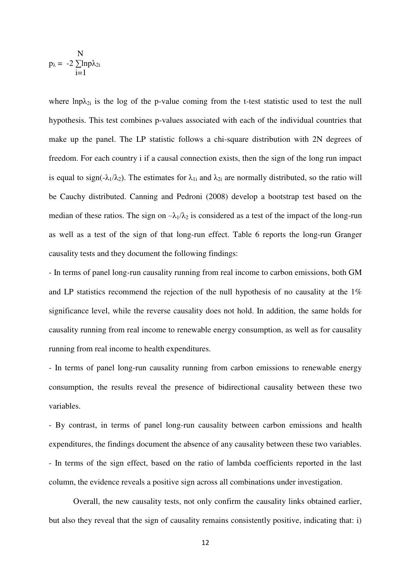$$
p_\lambda = \; -2 \; \underset{i=1}{\overset{N}{\sum}} ln p \lambda_{2i}
$$

where  $lnp\lambda_{2i}$  is the log of the p-value coming from the t-test statistic used to test the null hypothesis. This test combines p-values associated with each of the individual countries that make up the panel. The LP statistic follows a chi-square distribution with 2N degrees of freedom. For each country i if a causal connection exists, then the sign of the long run impact is equal to sign(- $\lambda_1/\lambda_2$ ). The estimates for  $\lambda_{1i}$  and  $\lambda_{2i}$  are normally distributed, so the ratio will be Cauchy distributed. Canning and Pedroni (2008) develop a bootstrap test based on the median of these ratios. The sign on  $-\lambda_1/\lambda_2$  is considered as a test of the impact of the long-run as well as a test of the sign of that long-run effect. Table 6 reports the long-run Granger causality tests and they document the following findings:

- In terms of panel long-run causality running from real income to carbon emissions, both GM and LP statistics recommend the rejection of the null hypothesis of no causality at the 1% significance level, while the reverse causality does not hold. In addition, the same holds for causality running from real income to renewable energy consumption, as well as for causality running from real income to health expenditures.

- In terms of panel long-run causality running from carbon emissions to renewable energy consumption, the results reveal the presence of bidirectional causality between these two variables.

- By contrast, in terms of panel long-run causality between carbon emissions and health expenditures, the findings document the absence of any causality between these two variables. - In terms of the sign effect, based on the ratio of lambda coefficients reported in the last column, the evidence reveals a positive sign across all combinations under investigation.

 Overall, the new causality tests, not only confirm the causality links obtained earlier, but also they reveal that the sign of causality remains consistently positive, indicating that: i)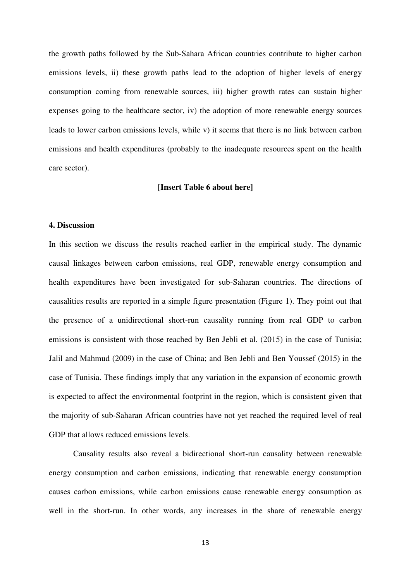the growth paths followed by the Sub-Sahara African countries contribute to higher carbon emissions levels, ii) these growth paths lead to the adoption of higher levels of energy consumption coming from renewable sources, iii) higher growth rates can sustain higher expenses going to the healthcare sector, iv) the adoption of more renewable energy sources leads to lower carbon emissions levels, while v) it seems that there is no link between carbon emissions and health expenditures (probably to the inadequate resources spent on the health care sector).

#### **[Insert Table 6 about here]**

### **4. Discussion**

In this section we discuss the results reached earlier in the empirical study. The dynamic causal linkages between carbon emissions, real GDP, renewable energy consumption and health expenditures have been investigated for sub-Saharan countries. The directions of causalities results are reported in a simple figure presentation (Figure 1). They point out that the presence of a unidirectional short-run causality running from real GDP to carbon emissions is consistent with those reached by Ben Jebli et al. (2015) in the case of Tunisia; Jalil and Mahmud (2009) in the case of China; and Ben Jebli and Ben Youssef (2015) in the case of Tunisia. These findings imply that any variation in the expansion of economic growth is expected to affect the environmental footprint in the region, which is consistent given that the majority of sub-Saharan African countries have not yet reached the required level of real GDP that allows reduced emissions levels.

Causality results also reveal a bidirectional short-run causality between renewable energy consumption and carbon emissions, indicating that renewable energy consumption causes carbon emissions, while carbon emissions cause renewable energy consumption as well in the short-run. In other words, any increases in the share of renewable energy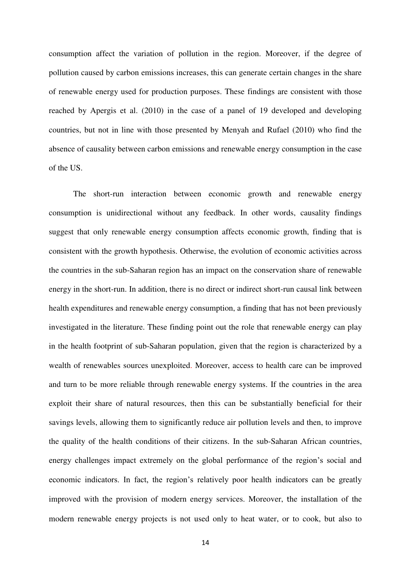consumption affect the variation of pollution in the region. Moreover, if the degree of pollution caused by carbon emissions increases, this can generate certain changes in the share of renewable energy used for production purposes. These findings are consistent with those reached by Apergis et al. (2010) in the case of a panel of 19 developed and developing countries, but not in line with those presented by Menyah and Rufael (2010) who find the absence of causality between carbon emissions and renewable energy consumption in the case of the US.

The short-run interaction between economic growth and renewable energy consumption is unidirectional without any feedback. In other words, causality findings suggest that only renewable energy consumption affects economic growth, finding that is consistent with the growth hypothesis. Otherwise, the evolution of economic activities across the countries in the sub-Saharan region has an impact on the conservation share of renewable energy in the short-run. In addition, there is no direct or indirect short-run causal link between health expenditures and renewable energy consumption, a finding that has not been previously investigated in the literature. These finding point out the role that renewable energy can play in the health footprint of sub-Saharan population, given that the region is characterized by a wealth of renewables sources unexploited. Moreover, access to health care can be improved and turn to be more reliable through renewable energy systems. If the countries in the area exploit their share of natural resources, then this can be substantially beneficial for their savings levels, allowing them to significantly reduce air pollution levels and then, to improve the quality of the health conditions of their citizens. In the sub-Saharan African countries, energy challenges impact extremely on the global performance of the region's social and economic indicators. In fact, the region's relatively poor health indicators can be greatly improved with the provision of modern energy services. Moreover, the installation of the modern renewable energy projects is not used only to heat water, or to cook, but also to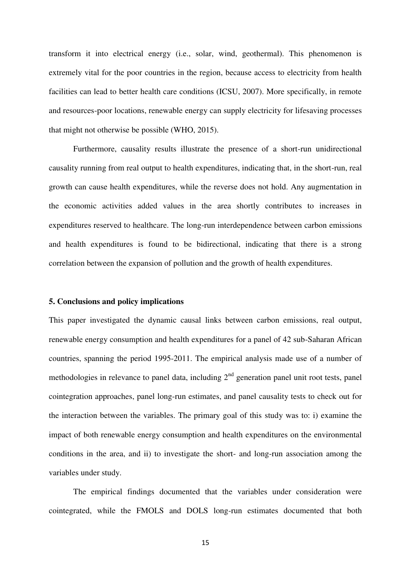transform it into electrical energy (i.e., solar, wind, geothermal). This phenomenon is extremely vital for the poor countries in the region, because access to electricity from health facilities can lead to better health care conditions (ICSU, 2007). More specifically, in remote and resources-poor locations, renewable energy can supply electricity for lifesaving processes that might not otherwise be possible (WHO, 2015).

Furthermore, causality results illustrate the presence of a short-run unidirectional causality running from real output to health expenditures, indicating that, in the short-run, real growth can cause health expenditures, while the reverse does not hold. Any augmentation in the economic activities added values in the area shortly contributes to increases in expenditures reserved to healthcare. The long-run interdependence between carbon emissions and health expenditures is found to be bidirectional, indicating that there is a strong correlation between the expansion of pollution and the growth of health expenditures.

#### **5. Conclusions and policy implications**

This paper investigated the dynamic causal links between carbon emissions, real output, renewable energy consumption and health expenditures for a panel of 42 sub-Saharan African countries, spanning the period 1995-2011. The empirical analysis made use of a number of methodologies in relevance to panel data, including  $2<sup>nd</sup>$  generation panel unit root tests, panel cointegration approaches, panel long-run estimates, and panel causality tests to check out for the interaction between the variables. The primary goal of this study was to: i) examine the impact of both renewable energy consumption and health expenditures on the environmental conditions in the area, and ii) to investigate the short- and long-run association among the variables under study.

The empirical findings documented that the variables under consideration were cointegrated, while the FMOLS and DOLS long-run estimates documented that both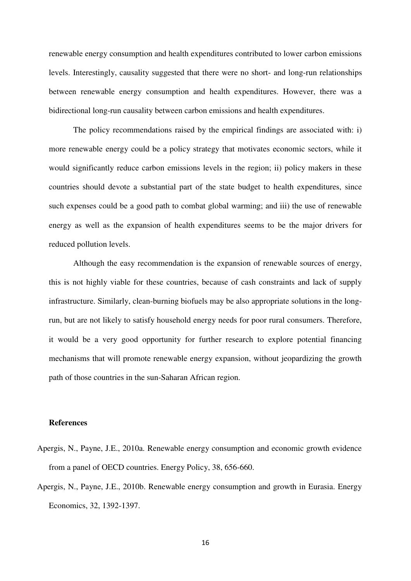renewable energy consumption and health expenditures contributed to lower carbon emissions levels. Interestingly, causality suggested that there were no short- and long-run relationships between renewable energy consumption and health expenditures. However, there was a bidirectional long-run causality between carbon emissions and health expenditures.

The policy recommendations raised by the empirical findings are associated with: i) more renewable energy could be a policy strategy that motivates economic sectors, while it would significantly reduce carbon emissions levels in the region; ii) policy makers in these countries should devote a substantial part of the state budget to health expenditures, since such expenses could be a good path to combat global warming; and iii) the use of renewable energy as well as the expansion of health expenditures seems to be the major drivers for reduced pollution levels.

Although the easy recommendation is the expansion of renewable sources of energy, this is not highly viable for these countries, because of cash constraints and lack of supply infrastructure. Similarly, clean-burning biofuels may be also appropriate solutions in the longrun, but are not likely to satisfy household energy needs for poor rural consumers. Therefore, it would be a very good opportunity for further research to explore potential financing mechanisms that will promote renewable energy expansion, without jeopardizing the growth path of those countries in the sun-Saharan African region.

#### **References**

- Apergis, N., Payne, J.E., 2010a. Renewable energy consumption and economic growth evidence from a panel of OECD countries. Energy Policy, 38, 656-660.
- Apergis, N., Payne, J.E., 2010b. Renewable energy consumption and growth in Eurasia. Energy Economics, 32, 1392-1397.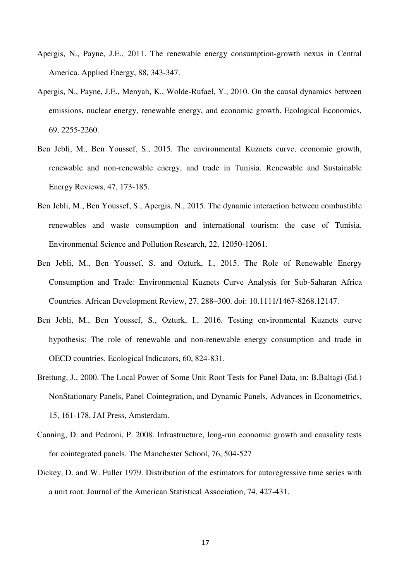- Apergis, N., Payne, J.E., 2011. The renewable energy consumption-growth nexus in Central America. Applied Energy, 88, 343-347.
- Apergis, N., Payne, J.E., Menyah, K., Wolde-Rufael, Y., 2010. On the causal dynamics between emissions, nuclear energy, renewable energy, and economic growth. Ecological Economics, 69, 2255-2260.
- Ben Jebli, M., Ben Youssef, S., 2015. The environmental Kuznets curve, economic growth, renewable and non-renewable energy, and trade in Tunisia. Renewable and Sustainable Energy Reviews, 47, 173-185.
- Ben Jebli, M., Ben Youssef, S., Apergis, N., 2015. The dynamic interaction between combustible renewables and waste consumption and international tourism: the case of Tunisia. Environmental Science and Pollution Research, 22, 12050-12061.
- Ben Jebli, M., Ben Youssef, S. and Ozturk, I., 2015. The Role of Renewable Energy Consumption and Trade: Environmental Kuznets Curve Analysis for Sub-Saharan Africa Countries. African Development Review, 27, 288–300. doi: 10.1111/1467-8268.12147.
- Ben Jebli, M., Ben Youssef, S., Ozturk, I., 2016. Testing environmental Kuznets curve hypothesis: The role of renewable and non-renewable energy consumption and trade in OECD countries. Ecological Indicators, 60, 824-831.
- Breitung, J., 2000. The Local Power of Some Unit Root Tests for Panel Data, in: B.Baltagi (Ed.) NonStationary Panels, Panel Cointegration, and Dynamic Panels, Advances in Econometrics, 15, 161-178, JAI Press, Amsterdam.
- Canning, D. and Pedroni, P. 2008. Infrastructure, long-run economic growth and causality tests for cointegrated panels. The Manchester School, 76, 504-527
- Dickey, D. and W. Fuller 1979. Distribution of the estimators for autoregressive time series with a unit root. Journal of the American Statistical Association, 74, 427-431.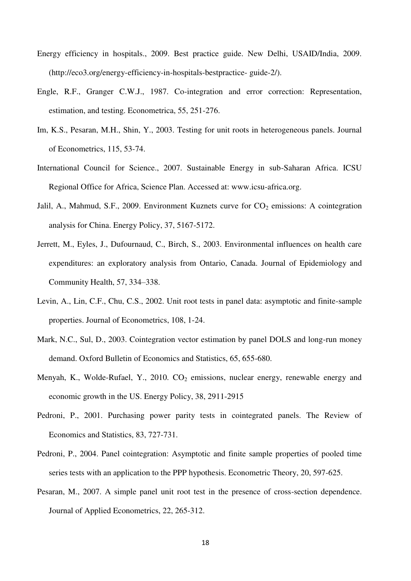- Energy efficiency in hospitals., 2009. Best practice guide. New Delhi, USAID/India, 2009. (http://eco3.org/energy-efficiency-in-hospitals-bestpractice- guide-2/).
- Engle, R.F., Granger C.W.J., 1987. Co-integration and error correction: Representation, estimation, and testing. Econometrica, 55, 251-276.
- Im, K.S., Pesaran, M.H., Shin, Y., 2003. Testing for unit roots in heterogeneous panels. Journal of Econometrics, 115, 53-74.
- International Council for Science., 2007. Sustainable Energy in sub-Saharan Africa. ICSU Regional Office for Africa, Science Plan. Accessed at: www.icsu-africa.org.
- Jalil, A., Mahmud, S.F., 2009. Environment Kuznets curve for  $CO<sub>2</sub>$  emissions: A cointegration analysis for China. Energy Policy, 37, 5167-5172.
- Jerrett, M., Eyles, J., Dufournaud, C., Birch, S., 2003. Environmental influences on health care expenditures: an exploratory analysis from Ontario, Canada. Journal of Epidemiology and Community Health, 57, 334–338.
- Levin, A., Lin, C.F., Chu, C.S., 2002. Unit root tests in panel data: asymptotic and finite-sample properties. Journal of Econometrics, 108, 1-24.
- Mark, N.C., Sul, D., 2003. Cointegration vector estimation by panel DOLS and long-run money demand. Oxford Bulletin of Economics and Statistics, 65, 655-680.
- Menyah, K., Wolde-Rufael, Y., 2010.  $CO<sub>2</sub>$  emissions, nuclear energy, renewable energy and economic growth in the US. Energy Policy, 38, 2911-2915
- Pedroni, P., 2001. Purchasing power parity tests in cointegrated panels. The Review of Economics and Statistics, 83, 727-731.
- Pedroni, P., 2004. Panel cointegration: Asymptotic and finite sample properties of pooled time series tests with an application to the PPP hypothesis. Econometric Theory, 20, 597-625.
- Pesaran, M., 2007. A simple panel unit root test in the presence of cross-section dependence. Journal of Applied Econometrics, 22, 265-312.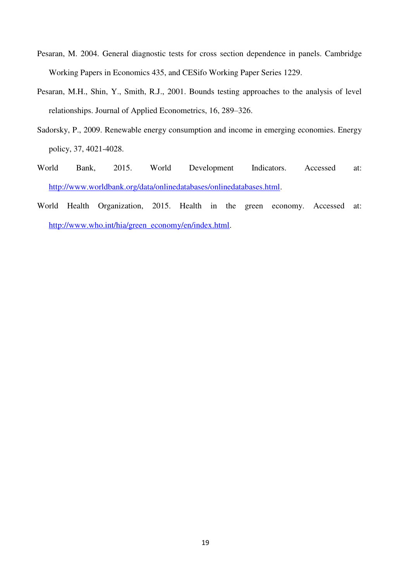- Pesaran, M. 2004. General diagnostic tests for cross section dependence in panels. Cambridge Working Papers in Economics 435, and CESifo Working Paper Series 1229.
- Pesaran, M.H., Shin, Y., Smith, R.J., 2001. Bounds testing approaches to the analysis of level relationships. Journal of Applied Econometrics, 16, 289–326.
- Sadorsky, P., 2009. Renewable energy consumption and income in emerging economies. Energy policy, 37, 4021-4028.
- World Bank, 2015. World Development Indicators. Accessed at: [http://www.worldbank.org/data/onlinedatabases/onlinedatabases.html.](http://www.worldbank.org/data/onlinedatabases/onlinedatabases.html)
- World Health Organization, 2015. Health in the green economy. Accessed at: [http://www.who.int/hia/green\\_economy/en/index.html.](http://www.who.int/hia/green_economy/en/index.html)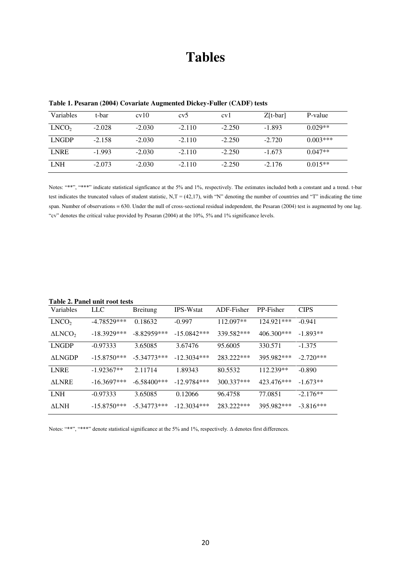# **Tables**

| Variables         | t-bar    | cv10     | cv5      | cy1      | $Z[t-bar]$ | P-value    |
|-------------------|----------|----------|----------|----------|------------|------------|
| LNCO <sub>2</sub> | $-2.028$ | $-2.030$ | $-2.110$ | $-2.250$ | $-1.893$   | $0.029**$  |
| <b>LNGDP</b>      | $-2.158$ | $-2.030$ | $-2.110$ | $-2.250$ | $-2.720$   | $0.003***$ |
| <b>LNRE</b>       | $-1.993$ | $-2.030$ | $-2.110$ | $-2.250$ | $-1.673$   | $0.047**$  |
| <b>LNH</b>        | $-2.073$ | $-2.030$ | $-2.110$ | $-2.250$ | $-2.176$   | $0.015**$  |

**Table 1. Pesaran (2004) Covariate Augmented Dickey-Fuller (CADF) tests** 

Notes: "\*\*", "\*\*\*" indicate statistical signficance at the 5% and 1%, respectively. The estimates included both a constant and a trend. t-bar test indicates the truncated values of student statistic, N,T =  $(42,17)$ , with "N" denoting the number of countries and "T" indicating the time span. Number of observations = 630. Under the null of cross-sectional residual independent, the Pesaran (2004) test is augmented by one lag. "cv" denotes the critical value provided by Pesaran (2004) at the 10%, 5% and 1% significance levels.

**Table 2. Panel unit root tests** 

|                   | Table 2. I and unit foot lests |                 |                  |             |              |             |  |  |
|-------------------|--------------------------------|-----------------|------------------|-------------|--------------|-------------|--|--|
| Variables         | <b>LLC</b>                     | <b>Breitung</b> | <b>IPS-Wstat</b> | ADF-Fisher  | PP-Fisher    | <b>CIPS</b> |  |  |
| LNCO <sub>2</sub> | $-4.78529***$                  | 0.18632         | $-0.997$         | $112.097**$ | 124.921***   | $-0.941$    |  |  |
| $\triangle LNCO2$ | $-18.3929***$                  | $-8.82959***$   | $-15.0842***$    | 339.582***  | $406.300***$ | $-1.893**$  |  |  |
| <b>LNGDP</b>      | $-0.97333$                     | 3.65085         | 3.67476          | 95.6005     | 330.571      | $-1.375$    |  |  |
| <b>ALNGDP</b>     | $-15.8750***$                  | $-5.34773***$   | $-12.3034***$    | 283.222***  | 395.982***   | $-2.720***$ |  |  |
| <b>LNRE</b>       | $-1.92367**$                   | 2.11714         | 1.89343          | 80.5532     | 112.239**    | $-0.890$    |  |  |
| <b>ALNRE</b>      | $-16.3697***$                  | $-6.58400***$   | $-12.9784***$    | 300.337***  | 423.476***   | $-1.673**$  |  |  |
| <b>LNH</b>        | $-0.97333$                     | 3.65085         | 0.12066          | 96.4758     | 77.0851      | $-2.176**$  |  |  |
| <b>ALNH</b>       | $-15.8750***$                  | $-5.34773***$   | $-12.3034***$    | 283.222***  | 395.982***   | $-3.816***$ |  |  |

Notes: "\*\*", "\*\*\*" denote statistical significance at the 5% and 1%, respectively. Δ denotes first differences.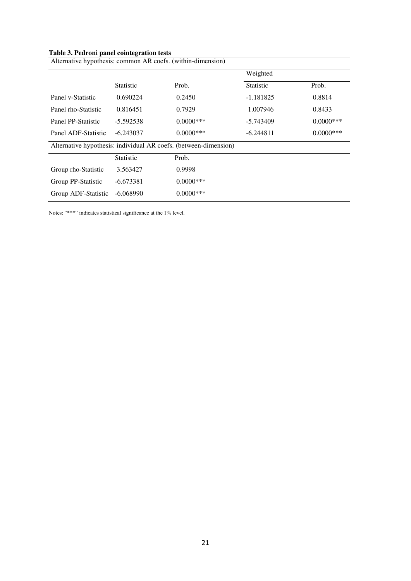| Table 5. I cui um patier connegration tests                 |                                                                  |              |                  |              |  |  |  |
|-------------------------------------------------------------|------------------------------------------------------------------|--------------|------------------|--------------|--|--|--|
| Alternative hypothesis: common AR coefs. (within-dimension) |                                                                  |              |                  |              |  |  |  |
|                                                             |                                                                  |              | Weighted         |              |  |  |  |
|                                                             | <b>Statistic</b>                                                 | Prob.        | <b>Statistic</b> | Prob.        |  |  |  |
| Panel v-Statistic                                           | 0.690224                                                         | 0.2450       | $-1.181825$      | 0.8814       |  |  |  |
| Panel rho-Statistic                                         | 0.816451                                                         | 0.7929       | 1.007946         | 0.8433       |  |  |  |
| Panel PP-Statistic                                          | $-5.592538$                                                      | $0.0000$ *** | -5.743409        | $0.0000$ *** |  |  |  |
| Panel ADF-Statistic                                         | $-6.243037$                                                      | $0.0000$ *** | -6.244811        | $0.0000$ *** |  |  |  |
|                                                             | Alternative hypothesis: individual AR coefs. (between-dimension) |              |                  |              |  |  |  |
|                                                             | Statistic                                                        | Prob.        |                  |              |  |  |  |
| Group rho-Statistic                                         | 3.563427                                                         | 0.9998       |                  |              |  |  |  |
| Group PP-Statistic                                          | $-6.673381$                                                      | $0.0000$ *** |                  |              |  |  |  |
| Group ADF-Statistic                                         | $-6.068990$                                                      | $0.0000***$  |                  |              |  |  |  |

**Table 3. Pedroni panel cointegration tests** 

Notes: "\*\*\*" indicates statistical significance at the 1% level.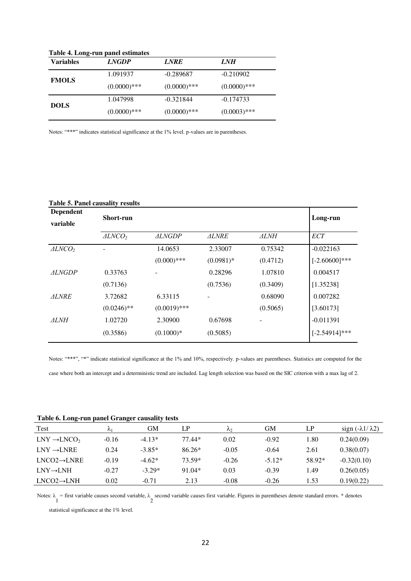| Table 4. Long-run panel estimates |                |                |                |  |  |  |
|-----------------------------------|----------------|----------------|----------------|--|--|--|
| <b>Variables</b>                  | <b>LNGDP</b>   | <b>LNRE</b>    | <i>LNH</i>     |  |  |  |
| <b>FMOLS</b>                      | 1.091937       | $-0.289687$    | $-0.210902$    |  |  |  |
|                                   | $(0.0000)$ *** | $(0.0000)$ *** | $(0.0000)$ *** |  |  |  |
| <b>DOLS</b>                       | 1.047998       | $-0.321844$    | $-0.174733$    |  |  |  |
|                                   | $(0.0000)$ *** | $(0.0000)$ *** | $(0.0003)$ *** |  |  |  |

**Table 4. Long-run panel estimates** 

Notes: "\*\*\*" indicates statistical significance at the 1% level. p-values are in parentheses.

#### **Table 5. Panel causality results**

| <b>Dependent</b><br>variable | Short-run         | Long-run       |              |                          |                  |
|------------------------------|-------------------|----------------|--------------|--------------------------|------------------|
|                              | $\triangle LNCO2$ | <b>ALNGDP</b>  | <b>ALNRE</b> | ALNH                     | <b>ECT</b>       |
| $\triangle LNCO$             |                   | 14.0653        | 2.33007      | 0.75342                  | $-0.022163$      |
|                              |                   | $(0.000)$ ***  | $(0.0981)$ * | (0.4712)                 | $[-2.60600]***$  |
| <i>ALNGDP</i>                | 0.33763           |                | 0.28296      | 1.07810                  | 0.004517         |
|                              | (0.7136)          |                | (0.7536)     | (0.3409)                 | [1.35238]        |
| <b>ALNRE</b>                 | 3.72682           | 6.33115        |              | 0.68090                  | 0.007282         |
|                              | $(0.0246)$ **     | $(0.0019)$ *** |              | (0.5065)                 | [3.60173]        |
| ALNH                         | 1.02720           | 2.30900        | 0.67698      | $\overline{\phantom{a}}$ | $-0.011391$      |
|                              | (0.3586)          | $(0.1000)*$    | (0.5085)     |                          | $[-2.54914]$ *** |

Notes: "\*\*\*", "\*" indicate statistical significance at the 1% and 10%, respectively. p-values are parentheses. Statistics are computed for the case where both an intercept and a deterministic trend are included. Lag length selection was based on the SIC criterion with a max lag of 2.

|  | Table 6. Long-run panel Granger causality tests |
|--|-------------------------------------------------|
|--|-------------------------------------------------|

| Test                     | Λ1      | GМ       | LP       | $\mathcal{N}_{2}$ | GМ       | LP     | sign $(-\lambda 1/\lambda 2)$ |
|--------------------------|---------|----------|----------|-------------------|----------|--------|-------------------------------|
| $LNY \rightarrow LNCO$   | $-0.16$ | $-4.13*$ | 77.44*   | 0.02              | $-0.92$  | l.80   | 0.24(0.09)                    |
| $LNY \rightarrow LNRE$   | 0.24    | $-3.85*$ | $86.26*$ | $-0.05$           | $-0.64$  | 2.61   | 0.38(0.07)                    |
| $INCO2 \rightarrow INRE$ | $-0.19$ | $-4.62*$ | 73.59*   | $-0.26$           | $-5.12*$ | 58.92* | $-0.32(0.10)$                 |
| $LNY \rightarrow LNH$    | $-0.27$ | $-3.29*$ | $91.04*$ | 0.03              | $-0.39$  | 1.49   | 0.26(0.05)                    |
| $LNCO2 \rightarrow LNH$  | 0.02    | $-0.71$  | 2.13     | $-0.08$           | $-0.26$  | 1.53   | 0.19(0.22)                    |

Notes:  $\lambda$  = first variable causes second variable,  $\lambda$  second variable causes first variable. Figures in parentheses denote standard errors. \* denotes 1

statistical significance at the 1% level.